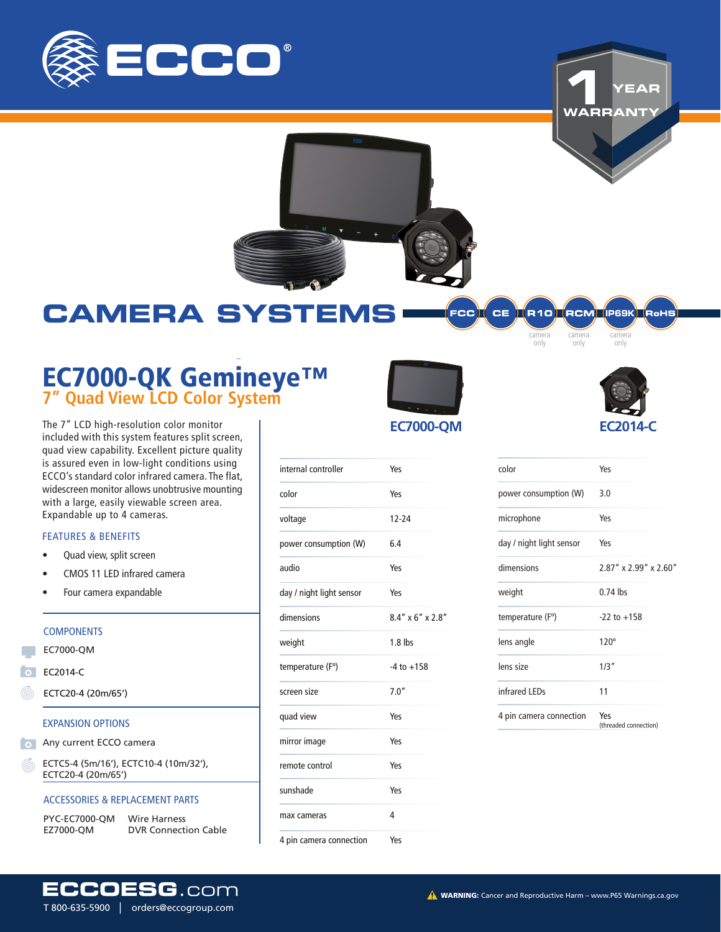

**1 WARRANTY YEAR**



## **CAMERA SYSTEMS**

# EC7000-QK Gemineye™ **7" Quad View LCD Color System** EC7000-QK Gemineye™ **7" Quad View LCD Color System**

The 7" LCD high-resolution color monitor included with this system features split screen, quad view capability. Excellent picture quality is assured even in low-light conditions using ECCO's standard color infrared camera. The flat, widescreen monitor allows unobtrusive mounting with a large, easily viewable screen area. Expandable up to 4 cameras.

#### FEATURES & BENEFITS

- Quad view, split screen
- CMOS 11 LED infrared camera
- Four camera expandable

#### **COMPONENTS**

EC7000-QM

EC2014-C

ECTC20-4 (20m/65')

#### EXPANSION OPTIONS

- **O** Any current ECCO camera
	- ECTC5-4 (5m/16'), ECTC10-4 (10m/32'), ECTC20-4 (20m/65')

#### ACCESSORIES & REPLACEMENT PARTS

| <b>PYC-EC7000-OM</b> | <b>Wire Harness</b>         |
|----------------------|-----------------------------|
| EZ7000-OM            | <b>DVR Connection Cable</b> |

T 800-635-5900 │ orders@eccogroup.com

FCC **I**CE **IA10 ROM PESK COHS** 

camera only

camera only



camera only

| color                    | Yes                          |
|--------------------------|------------------------------|
| power consumption (W)    | 3.0                          |
| microphone               | Yes                          |
| day / night light sensor | Yes                          |
| dimensions               | 2.87" x 2.99" x 2.60"        |
| weight                   | $0.74$ lbs                   |
| temperature (F°)         | $-22$ to $+158$              |
| lens angle               | $120^\circ$                  |
| lens size                | 1/3''                        |
| infrared LEDs            | 11                           |
| 4 pin camera connection  | Yes<br>(threaded connection) |

### **EC7000-QM**

| internal controller      | Yes                 |
|--------------------------|---------------------|
| color                    | Yes                 |
| voltage                  | $12 - 24$           |
| power consumption (W)    | 6.4                 |
| oibus                    | Yes                 |
| day / night light sensor | Yes                 |
| dimensions               | $8.4''$ x 6" x 2.8" |
| weight                   | $1.8$ lbs           |
| temperature (F°)         | $-4$ to $+158$      |
| screen size              | 7.0''               |
| quad view                | Yes                 |
| mirror image             | Yes                 |
| remote control           | Yes                 |
| sunshade                 | Yes                 |
| max cameras              | 4                   |
| 4 pin camera connection  | Yes                 |